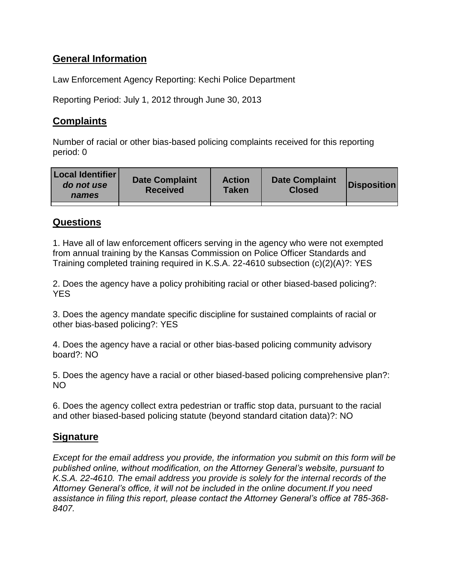# **General Information**

Law Enforcement Agency Reporting: Kechi Police Department

Reporting Period: July 1, 2012 through June 30, 2013

# **Complaints**

Number of racial or other bias-based policing complaints received for this reporting period: 0

| <b>Local Identifier</b><br>do not use<br>names | <b>Date Complaint</b><br><b>Received</b> | <b>Action</b><br>Taken | <b>Date Complaint</b><br><b>Closed</b> | Disposition |
|------------------------------------------------|------------------------------------------|------------------------|----------------------------------------|-------------|
|                                                |                                          |                        |                                        |             |

## **Questions**

1. Have all of law enforcement officers serving in the agency who were not exempted from annual training by the Kansas Commission on Police Officer Standards and Training completed training required in K.S.A. 22-4610 subsection (c)(2)(A)?: YES

2. Does the agency have a policy prohibiting racial or other biased-based policing?: **YES** 

3. Does the agency mandate specific discipline for sustained complaints of racial or other bias-based policing?: YES

4. Does the agency have a racial or other bias-based policing community advisory board?: NO

5. Does the agency have a racial or other biased-based policing comprehensive plan?: NO

6. Does the agency collect extra pedestrian or traffic stop data, pursuant to the racial and other biased-based policing statute (beyond standard citation data)?: NO

## **Signature**

*Except for the email address you provide, the information you submit on this form will be published online, without modification, on the Attorney General's website, pursuant to K.S.A. 22-4610. The email address you provide is solely for the internal records of the Attorney General's office, it will not be included in the online document.If you need assistance in filing this report, please contact the Attorney General's office at 785-368- 8407.*